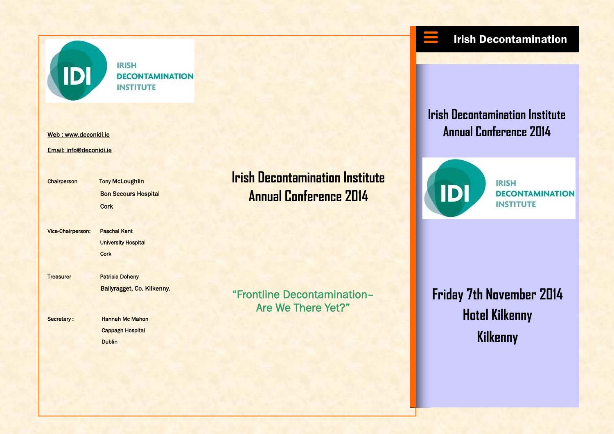

**IRISH DECONTAMINATION INSTITUTE** 

Email: info@deconidi.ie

Chairperson Tony McLoughlin Bon Secours Hospital **Cork Cork** 

Vice-Chairperson: Paschal Kent University Hospital **Cork Cork** 

Treasurer Patricia Doheny Ballyragget, Co. Kilkenny.

Secretary : Hannah Mc Mahon Cappagh Hospital **Dublin** Dublin

**Irish Decontamination Institute Annual Conference 2014** 

"Frontline Decontamination– Are We There Yet?"

## Irish Decontamination

**Irish Decontamination Institute** web : www.deconidi.ie and the state of the state of the state of the state of the state of the state of the state of the state of the state of the state of the state of the state of the state of the state of the state of t



**IRISH DECONTAMINATION INSTITUTE** 

**Friday 7th November 2014 Hotel Kilkenny Kilkenny**